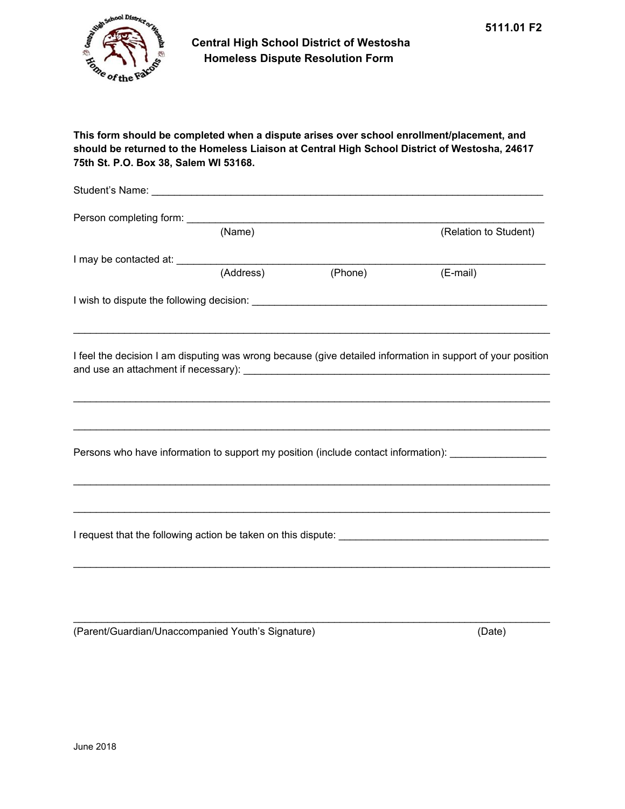## **This form should be completed when a dispute arises over school enrollment/placement, and should be returned to the Homeless Liaison at Central High School District of Westosha, 24617 75th St. P.O. Box 38, Salem WI 53168.**

| (Name)    |         | (Relation to Student)                                                                                                                                                                                                               |
|-----------|---------|-------------------------------------------------------------------------------------------------------------------------------------------------------------------------------------------------------------------------------------|
|           |         |                                                                                                                                                                                                                                     |
| (Address) | (Phone) | (E-mail)                                                                                                                                                                                                                            |
|           |         |                                                                                                                                                                                                                                     |
|           |         | <u> 1999 - 1999 - 1999 - 1999 - 1999 - 1999 - 1999 - 1999 - 1999 - 1999 - 1999 - 1999 - 1999 - 1999 - 1999 - 199</u><br>I feel the decision I am disputing was wrong because (give detailed information in support of your position |
|           |         | Persons who have information to support my position (include contact information): ________________                                                                                                                                 |
|           |         |                                                                                                                                                                                                                                     |
|           |         |                                                                                                                                                                                                                                     |
|           |         |                                                                                                                                                                                                                                     |

 $\_$  ,  $\_$  ,  $\_$  ,  $\_$  ,  $\_$  ,  $\_$  ,  $\_$  ,  $\_$  ,  $\_$  ,  $\_$  ,  $\_$  ,  $\_$  ,  $\_$  ,  $\_$  ,  $\_$  ,  $\_$  ,  $\_$  ,  $\_$  ,  $\_$  ,  $\_$  ,  $\_$  ,  $\_$  ,  $\_$  ,  $\_$  ,  $\_$  ,  $\_$  ,  $\_$  ,  $\_$  ,  $\_$  ,  $\_$  ,  $\_$  ,  $\_$  ,  $\_$  ,  $\_$  ,  $\_$  ,  $\_$  ,  $\_$  ,

(Parent/Guardian/Unaccompanied Youth's Signature) (Date)